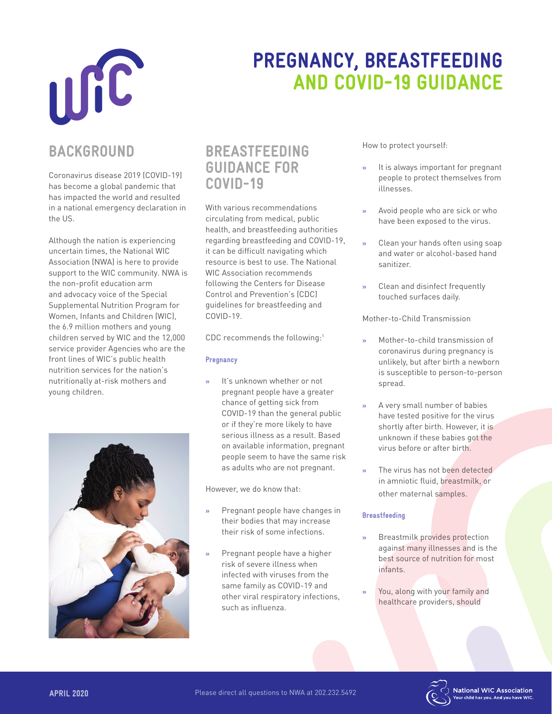

# PREGNANCY, BREASTFEEDING AND COVID-19 GUIDANCE

### BACKGROUND

Coronavirus disease 2019 (COVID-19) has become a global pandemic that has impacted the world and resulted in a national emergency declaration in the US.

Although the nation is experiencing uncertain times, the National WIC Association (NWA) is here to provide support to the WIC community. NWA is the non-profit education arm and advocacy voice of the Special Supplemental Nutrition Program for Women, Infants and Children (WIC), the 6.9 million mothers and young children served by WIC and the 12,000 service provider Agencies who are the front lines of WIC's public health nutrition services for the nation's nutritionally at-risk mothers and young children.



### BREASTFEEDING GUIDANCE FOR COVID-19

With various recommendations circulating from medical, public health, and breastfeeding authorities regarding breastfeeding and COVID-19, it can be difficult navigating which resource is best to use. The National WIC Association recommends following the Centers for Disease Control and Prevention's (CDC) guidelines for breastfeeding and COVID-19.

CDC recommends the following:<sup>1</sup>

#### **Pregnancy**

It's unknown whether or not pregnant people have a greater chance of getting sick from COVID-19 than the general public or if they're more likely to have serious illness as a result. Based on available information, pregnant people seem to have the same risk as adults who are not pregnant.

However, we do know that:

- » Pregnant people have changes in their bodies that may increase their risk of some infections.
- » Pregnant people have a higher risk of severe illness when infected with viruses from the same family as COVID-19 and other viral respiratory infections, such as influenza.

How to protect yourself:

- » It is always important for pregnant people to protect themselves from illnesses.
- » Avoid people who are sick or who have been exposed to the virus.
- » Clean your hands often using soap and water or alcohol-based hand sanitizer.
- » Clean and disinfect frequently touched surfaces daily.

Mother-to-Child Transmission

- » Mother-to-child transmission of coronavirus during pregnancy is unlikely, but after birth a newborn is susceptible to person-to-person spread.
- » A very small number of babies have tested positive for the virus shortly after birth. However, it is unknown if these babies got the virus before or after birth.
- The virus has not been detected in amniotic fluid, breastmilk, or other maternal samples.

#### Breastfeeding

- » Breastmilk provides protection against many illnesses and is the best source of nutrition for most infants.
- You, along with your family and healthcare providers, should